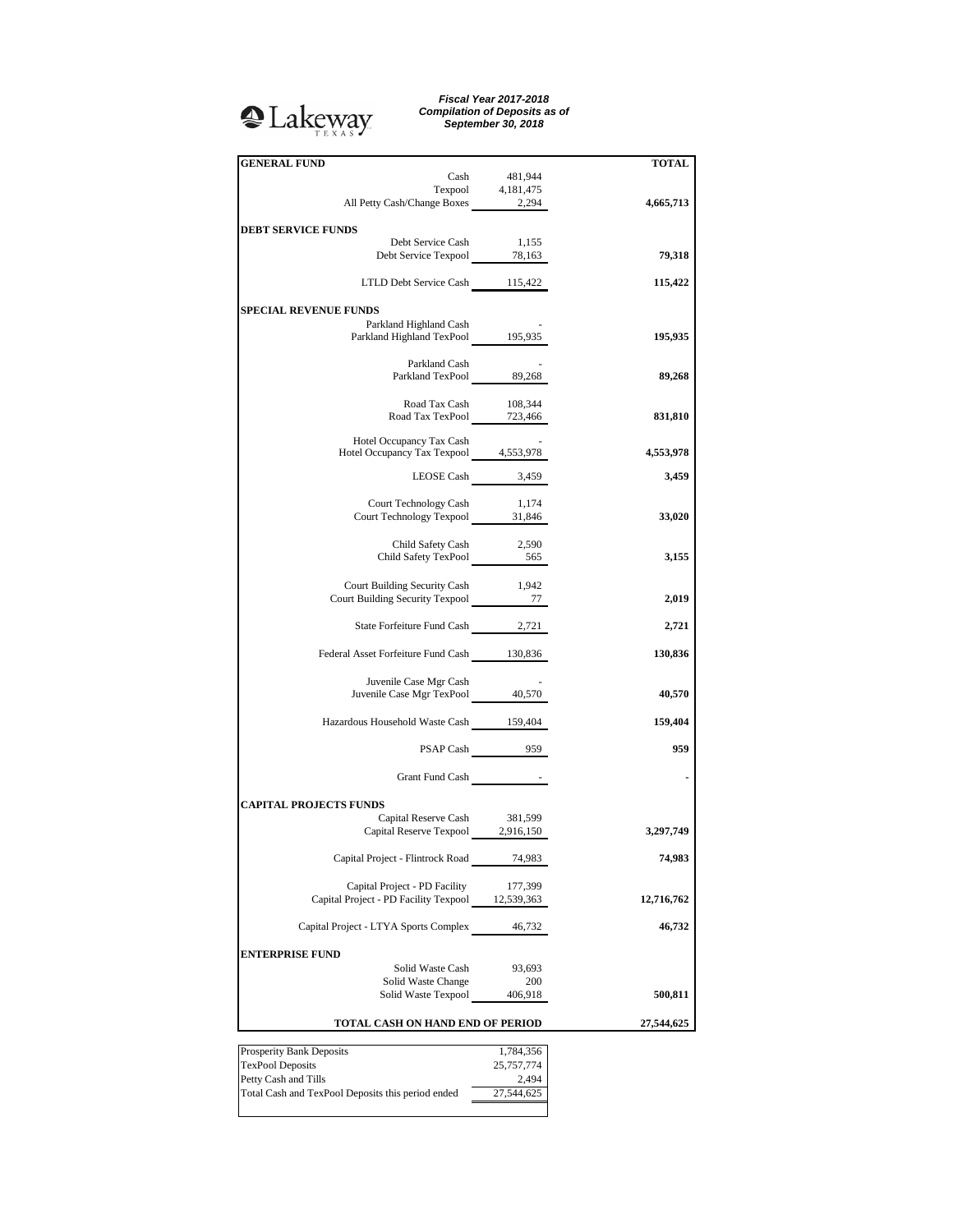## <sup>2</sup>Lakeway

*Fiscal Year 2017-2018 Compilation of Deposits as of September 30, 2018*

| <b>GENERAL FUND</b>                                                      |                   | <b>TOTAL</b> |
|--------------------------------------------------------------------------|-------------------|--------------|
| Cash                                                                     | 481,944           |              |
|                                                                          | Texpool 4,181,475 |              |
| All Petty Cash/Change Boxes 2,294                                        |                   | 4,665,713    |
|                                                                          |                   |              |
| <b>DEBT SERVICE FUNDS</b>                                                |                   |              |
| Debt Service Cash                                                        | 1,155             |              |
| Debt Service Texpool 78,163                                              |                   | 79,318       |
|                                                                          |                   |              |
| LTLD Debt Service Cash 115,422                                           |                   | 115,422      |
|                                                                          |                   |              |
| <b>SPECIAL REVENUE FUNDS</b>                                             |                   |              |
| Parkland Highland Cash                                                   |                   |              |
| Parkland Highland TexPool 195,935                                        |                   | 195,935      |
|                                                                          |                   |              |
| Parkland Cash                                                            |                   |              |
| Parkland TexPool 89,268                                                  |                   | 89,268       |
|                                                                          |                   |              |
| Road Tax Cash<br>Road Tax TexPool 723,466                                | 108,344           |              |
|                                                                          |                   | 831,810      |
|                                                                          |                   |              |
| Hotel Occupancy Tax Cash<br>Hotel Occupancy Tax Texpool 4,553,978        |                   |              |
|                                                                          |                   | 4,553,978    |
| LEOSE Cash 3,459                                                         |                   | 3,459        |
|                                                                          |                   |              |
| Court Technology Cash                                                    | 1,174             |              |
| Court Technology Texpool 31,846                                          |                   | 33,020       |
|                                                                          |                   |              |
|                                                                          |                   |              |
| Child Safety Cash<br>Child Safety Cash 2,590<br>Child Safety TexPool 565 | 2,590             |              |
|                                                                          |                   | 3,155        |
|                                                                          |                   |              |
| Court Building Security Cash                                             | 1.942             |              |
| Court Building Security Texpool 277                                      |                   | 2,019        |
|                                                                          |                   |              |
| State Forfeiture Fund Cash 2,721                                         |                   | 2,721        |
|                                                                          |                   |              |
| Federal Asset Forfeiture Fund Cash 130,836                               |                   | 130,836      |
|                                                                          |                   |              |
| Juvenile Case Mgr Cash                                                   |                   |              |
| Juvenile Case Mgr TexPool 40,570                                         |                   | 40,570       |
|                                                                          |                   |              |
| Hazardous Household Waste Cash 159,404                                   |                   | 159,404      |
|                                                                          |                   |              |
|                                                                          | PSAP Cash 959     | 959          |
|                                                                          |                   |              |
| Grant Fund Cash                                                          |                   |              |
|                                                                          |                   |              |
| <b>CAPITAL PROJECTS FUNDS</b>                                            |                   |              |
| Capital Reserve Cash 381,599                                             |                   |              |
| Capital Reserve Texpool 2,916,150                                        |                   | 3,297,749    |
|                                                                          |                   |              |
| Capital Project - Flintrock Road                                         | 74,983            | 74,983       |
|                                                                          |                   |              |
| Capital Project - PD Facility                                            | 177,399           |              |
| Capital Project - PD Facility Texpool 12,539,363                         |                   |              |
|                                                                          |                   | 12,716,762   |
|                                                                          |                   |              |
| Capital Project - LTYA Sports Complex                                    | 46,732            | 46,732       |
|                                                                          |                   |              |
| <b>ENTERPRISE FUND</b>                                                   |                   |              |
| Solid Waste Cash                                                         | 93,693            |              |
| Solid Waste Change                                                       | 200               |              |
| Solid Waste Texpool                                                      | 406,918           | 500,811      |
|                                                                          |                   |              |
| TOTAL CASH ON HAND END OF PERIOD                                         |                   | 27,544,625   |
|                                                                          |                   |              |
| Prosperity Bank Deposits                                                 | 1,784,356         |              |
| <b>TexPool Deposits</b>                                                  | 25,757,774        |              |
| Petty Cash and Tills                                                     | 2,494             |              |

Total Cash and TexPool Deposits this period ended 27,544,625